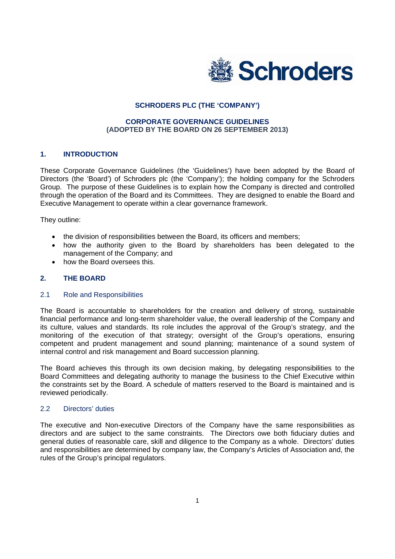

# **SCHRODERS PLC (THE 'COMPANY')**

# **CORPORATE GOVERNANCE GUIDELINES** (ADOPTED BY THE BOARD ON 26 SEPTEMBER 2013)

#### $1<sub>1</sub>$ **INTRODUCTION**

These Corporate Governance Guidelines (the 'Guidelines') have been adopted by the Board of Directors (the 'Board') of Schroders plc (the 'Company'); the holding company for the Schroders Group. The purpose of these Guidelines is to explain how the Company is directed and controlled through the operation of the Board and its Committees. They are designed to enable the Board and Executive Management to operate within a clear governance framework.

They outline:

- the division of responsibilities between the Board, its officers and members;
- how the authority given to the Board by shareholders has been delegated to the management of the Company; and
- how the Board oversees this.

#### **THE BOARD**  $2<sub>1</sub>$

#### $2.1$ **Role and Responsibilities**

The Board is accountable to shareholders for the creation and delivery of strong, sustainable financial performance and long-term shareholder value, the overall leadership of the Company and its culture, values and standards. Its role includes the approval of the Group's strategy, and the monitoring of the execution of that strategy; oversight of the Group's operations, ensuring competent and prudent management and sound planning; maintenance of a sound system of internal control and risk management and Board succession planning.

The Board achieves this through its own decision making, by delegating responsibilities to the Board Committees and delegating authority to manage the business to the Chief Executive within the constraints set by the Board. A schedule of matters reserved to the Board is maintained and is reviewed periodically.

#### $22$ Directors' duties

The executive and Non-executive Directors of the Company have the same responsibilities as directors and are subject to the same constraints. The Directors owe both fiduciary duties and general duties of reasonable care, skill and diligence to the Company as a whole. Directors' duties and responsibilities are determined by company law, the Company's Articles of Association and, the rules of the Group's principal regulators.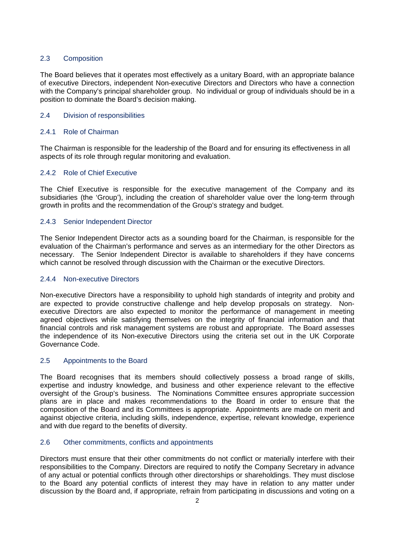# 2.3 Composition

The Board believes that it operates most effectively as a unitary Board, with an appropriate balance of executive Directors, independent Non-executive Directors and Directors who have a connection with the Company's principal shareholder group. No individual or group of individuals should be in a position to dominate the Board's decision making.

## 2.4 Division of responsibilities

## 2.4.1 Role of Chairman

The Chairman is responsible for the leadership of the Board and for ensuring its effectiveness in all aspects of its role through regular monitoring and evaluation.

# 2.4.2 Role of Chief Executive

The Chief Executive is responsible for the executive management of the Company and its subsidiaries (the 'Group'), including the creation of shareholder value over the long-term through growth in profits and the recommendation of the Group's strategy and budget.

## 2.4.3 Senior Independent Director

The Senior Independent Director acts as a sounding board for the Chairman, is responsible for the evaluation of the Chairman's performance and serves as an intermediary for the other Directors as necessary. The Senior Independent Director is available to shareholders if they have concerns which cannot be resolved through discussion with the Chairman or the executive Directors.

## 2.4.4 Non-executive Directors

Non-executive Directors have a responsibility to uphold high standards of integrity and probity and are expected to provide constructive challenge and help develop proposals on strategy. Nonexecutive Directors are also expected to monitor the performance of management in meeting agreed objectives while satisfying themselves on the integrity of financial information and that financial controls and risk management systems are robust and appropriate. The Board assesses the independence of its Non-executive Directors using the criteria set out in the UK Corporate Governance Code.

# 2.5 Appointments to the Board

The Board recognises that its members should collectively possess a broad range of skills, expertise and industry knowledge, and business and other experience relevant to the effective oversight of the Group's business. The Nominations Committee ensures appropriate succession plans are in place and makes recommendations to the Board in order to ensure that the composition of the Board and its Committees is appropriate. Appointments are made on merit and against objective criteria, including skills, independence, expertise, relevant knowledge, experience and with due regard to the benefits of diversity.

### 2.6 Other commitments, conflicts and appointments

Directors must ensure that their other commitments do not conflict or materially interfere with their responsibilities to the Company. Directors are required to notify the Company Secretary in advance of any actual or potential conflicts through other directorships or shareholdings. They must disclose to the Board any potential conflicts of interest they may have in relation to any matter under discussion by the Board and, if appropriate, refrain from participating in discussions and voting on a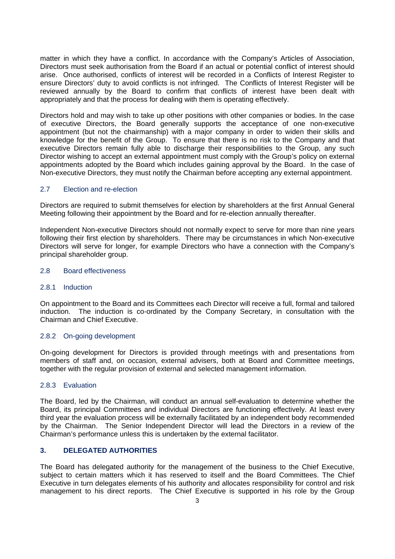matter in which they have a conflict. In accordance with the Company's Articles of Association, Directors must seek authorisation from the Board if an actual or potential conflict of interest should arise. Once authorised, conflicts of interest will be recorded in a Conflicts of Interest Register to ensure Directors' duty to avoid conflicts is not infringed. The Conflicts of Interest Register will be reviewed annually by the Board to confirm that conflicts of interest have been dealt with appropriately and that the process for dealing with them is operating effectively.

Directors hold and may wish to take up other positions with other companies or bodies. In the case of executive Directors, the Board generally supports the acceptance of one non-executive appointment (but not the chairmanship) with a major company in order to widen their skills and knowledge for the benefit of the Group. To ensure that there is no risk to the Company and that executive Directors remain fully able to discharge their responsibilities to the Group, any such Director wishing to accept an external appointment must comply with the Group's policy on external appointments adopted by the Board which includes gaining approval by the Board. In the case of Non-executive Directors, they must notify the Chairman before accepting any external appointment.

### 2.7 Election and re-election

Directors are required to submit themselves for election by shareholders at the first Annual General Meeting following their appointment by the Board and for re-election annually thereafter.

Independent Non-executive Directors should not normally expect to serve for more than nine years following their first election by shareholders. There may be circumstances in which Non-executive Directors will serve for longer, for example Directors who have a connection with the Company's principal shareholder group.

### 2.8 Board effectiveness

### 2.8.1 Induction

On appointment to the Board and its Committees each Director will receive a full, formal and tailored induction. The induction is co-ordinated by the Company Secretary, in consultation with the Chairman and Chief Executive.

### 2.8.2 On-going development

On-going development for Directors is provided through meetings with and presentations from members of staff and, on occasion, external advisers, both at Board and Committee meetings, together with the regular provision of external and selected management information.

### 2.8.3 Evaluation

The Board, led by the Chairman, will conduct an annual self-evaluation to determine whether the Board, its principal Committees and individual Directors are functioning effectively. At least every third year the evaluation process will be externally facilitated by an independent body recommended by the Chairman. The Senior Independent Director will lead the Directors in a review of the Chairman's performance unless this is undertaken by the external facilitator.

# **3. DELEGATED AUTHORITIES**

The Board has delegated authority for the management of the business to the Chief Executive, subject to certain matters which it has reserved to itself and the Board Committees. The Chief Executive in turn delegates elements of his authority and allocates responsibility for control and risk management to his direct reports. The Chief Executive is supported in his role by the Group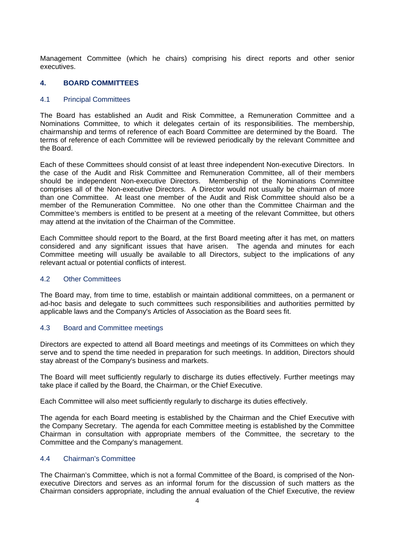Management Committee (which he chairs) comprising his direct reports and other senior executives.

# **4. BOARD COMMITTEES**

## 4.1 Principal Committees

The Board has established an Audit and Risk Committee, a Remuneration Committee and a Nominations Committee, to which it delegates certain of its responsibilities. The membership, chairmanship and terms of reference of each Board Committee are determined by the Board. The terms of reference of each Committee will be reviewed periodically by the relevant Committee and the Board.

Each of these Committees should consist of at least three independent Non-executive Directors. In the case of the Audit and Risk Committee and Remuneration Committee, all of their members should be independent Non-executive Directors. Membership of the Nominations Committee comprises all of the Non-executive Directors. A Director would not usually be chairman of more than one Committee. At least one member of the Audit and Risk Committee should also be a member of the Remuneration Committee. No one other than the Committee Chairman and the Committee's members is entitled to be present at a meeting of the relevant Committee, but others may attend at the invitation of the Chairman of the Committee.

Each Committee should report to the Board, at the first Board meeting after it has met, on matters considered and any significant issues that have arisen. The agenda and minutes for each Committee meeting will usually be available to all Directors, subject to the implications of any relevant actual or potential conflicts of interest.

## 4.2 Other Committees

The Board may, from time to time, establish or maintain additional committees, on a permanent or ad-hoc basis and delegate to such committees such responsibilities and authorities permitted by applicable laws and the Company's Articles of Association as the Board sees fit.

### 4.3 Board and Committee meetings

Directors are expected to attend all Board meetings and meetings of its Committees on which they serve and to spend the time needed in preparation for such meetings. In addition, Directors should stay abreast of the Company's business and markets.

The Board will meet sufficiently regularly to discharge its duties effectively. Further meetings may take place if called by the Board, the Chairman, or the Chief Executive.

Each Committee will also meet sufficiently regularly to discharge its duties effectively.

The agenda for each Board meeting is established by the Chairman and the Chief Executive with the Company Secretary. The agenda for each Committee meeting is established by the Committee Chairman in consultation with appropriate members of the Committee, the secretary to the Committee and the Company's management.

### 4.4 Chairman's Committee

The Chairman's Committee, which is not a formal Committee of the Board, is comprised of the Nonexecutive Directors and serves as an informal forum for the discussion of such matters as the Chairman considers appropriate, including the annual evaluation of the Chief Executive, the review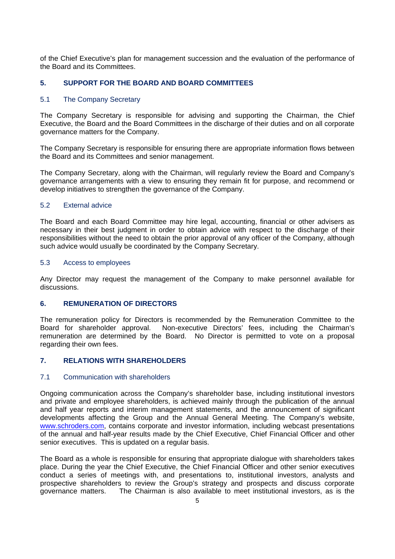of the Chief Executive's plan for management succession and the evaluation of the performance of the Board and its Committees.

# **5. SUPPORT FOR THE BOARD AND BOARD COMMITTEES**

# 5.1 The Company Secretary

The Company Secretary is responsible for advising and supporting the Chairman, the Chief Executive, the Board and the Board Committees in the discharge of their duties and on all corporate governance matters for the Company.

The Company Secretary is responsible for ensuring there are appropriate information flows between the Board and its Committees and senior management.

The Company Secretary, along with the Chairman, will regularly review the Board and Company's governance arrangements with a view to ensuring they remain fit for purpose, and recommend or develop initiatives to strengthen the governance of the Company.

# 5.2 External advice

The Board and each Board Committee may hire legal, accounting, financial or other advisers as necessary in their best judgment in order to obtain advice with respect to the discharge of their responsibilities without the need to obtain the prior approval of any officer of the Company, although such advice would usually be coordinated by the Company Secretary.

## 5.3 Access to employees

Any Director may request the management of the Company to make personnel available for discussions.

# **6. REMUNERATION OF DIRECTORS**

The remuneration policy for Directors is recommended by the Remuneration Committee to the Board for shareholder approval. Non-executive Directors' fees, including the Chairman's remuneration are determined by the Board. No Director is permitted to vote on a proposal regarding their own fees.

# **7. RELATIONS WITH SHAREHOLDERS**

### 7.1 Communication with shareholders

Ongoing communication across the Company's shareholder base, including institutional investors and private and employee shareholders, is achieved mainly through the publication of the annual and half year reports and interim management statements, and the announcement of significant developments affecting the Group and the Annual General Meeting. The Company's website, www.schroders.com, contains corporate and investor information, including webcast presentations of the annual and half-year results made by the Chief Executive, Chief Financial Officer and other senior executives. This is updated on a regular basis.

The Board as a whole is responsible for ensuring that appropriate dialogue with shareholders takes place. During the year the Chief Executive, the Chief Financial Officer and other senior executives conduct a series of meetings with, and presentations to, institutional investors, analysts and prospective shareholders to review the Group's strategy and prospects and discuss corporate governance matters. The Chairman is also available to meet institutional investors, as is the